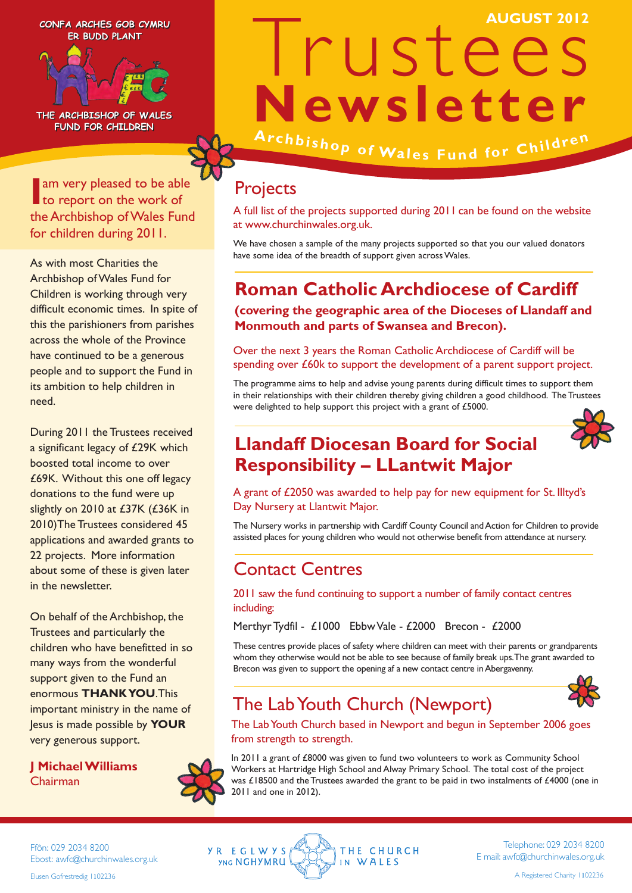**CONFA ARCHES GOB CYMRU CONFA ARCHES GOB CYMRU ER BUDD PLANT ER BUDD PLANT**



**THE ARCHBISHOP OF WALES THE ARCHBISHOP OF WALES FUND FOR CHILDREN FUND FOR CHILDREN**

**I** am very pleased to be able<br>to report on the work of to report on the work of the Archbishop of Wales Fund for children during 2011.

As with most Charities the Archbishop of Wales Fund for Children is working through very difficult economic times. In spite of this the parishioners from parishes across the whole of the Province have continued to be a generous people and to support the Fund in its ambition to help children in need.

During 2011 the Trustees received a significant legacy of £29K which boosted total income to over £69K. Without this one off legacy donations to the fund were up slightly on 2010 at £37K (£36K in 2010)The Trustees considered 45 applications and awarded grants to 22 projects. More information about some of these is given later in the newsletter.

On behalf of the Archbishop, the Trustees and particularly the children who have benefitted in so many ways from the wonderful support given to the Fund an enormous **THANK YOU**.This important ministry in the name of Jesus is made possible by **YOUR** very generous support.

**J Michael Williams** Chairman

# Irustees **Newsletter** Archbishop of Wales Fund for Children **AUGUST 2012**

**Projects** 

A full list of the projects supported during 2011 can be found on the website at www.churchinwales.org.uk.

We have chosen a sample of the many projects supported so that you our valued donators have some idea of the breadth of support given across Wales.

#### **Roman Catholic Archdiocese of Cardiff**

**(covering the geographic area of the Dioceses of Llandaff and Monmouth and parts of Swansea and Brecon).** 

Over the next 3 years the Roman Catholic Archdiocese of Cardiff will be spending over £60k to support the development of a parent support project.

The programme aims to help and advise young parents during difficult times to support them in their relationships with their children thereby giving children a good childhood. The Trustees were delighted to help support this project with a grant of £5000.

#### **Llandaff Diocesan Board for Social Responsibility – LLantwit Major**



A grant of £2050 was awarded to help pay for new equipment for St. Illtyd's Day Nursery at Llantwit Major.

The Nursery works in partnership with Cardiff County Council and Action for Children to provide assisted places for young children who would not otherwise benefit from attendance at nursery.

#### Contact Centres

2011 saw the fund continuing to support a number of family contact centres including:

Merthyr Tydfil - £1000 Ebbw Vale - £2000 Brecon - £2000

These centres provide places of safety where children can meet with their parents or grandparents whom they otherwise would not be able to see because of family break ups. The grant awarded to Brecon was given to support the opening af a new contact centre in Abergavenny.

#### The Lab Youth Church (Newport)



The Lab Youth Church based in Newport and begun in September 2006 goes from strength to strength.

In 2011 a grant of £8000 was given to fund two volunteers to work as Community School Workers at Hartridge High School and Alway Primary School. The total cost of the project was £18500 and the Trustees awarded the grant to be paid in two instalments of £4000 (one in 2011 and one in 2012).

Ffôn: 029 2034 8200 Ebost: awfc@churchinwales.org.uk Elusen Gofrestredig 1102236



Telephone: 029 2034 8200 E mail: awfc@churchinwales.org.uk